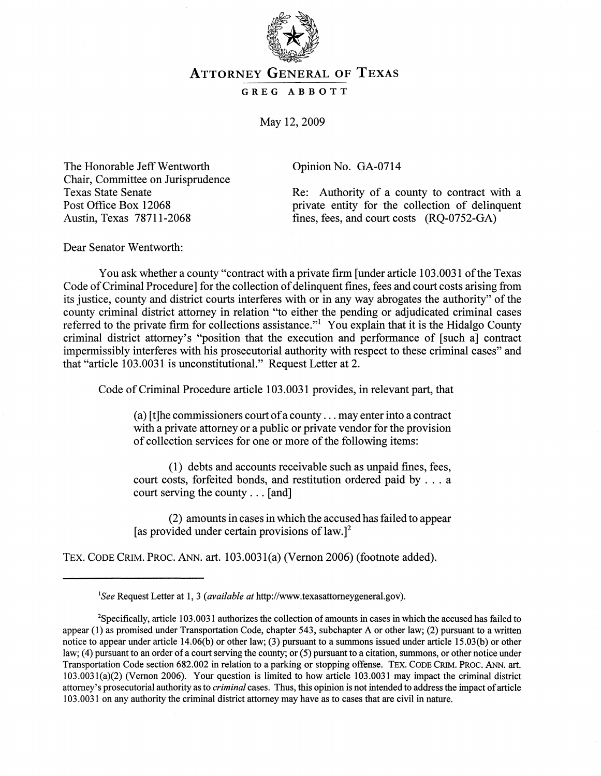

## ATTORNEY GENERAL OF TEXAS

GREG ABBOTT

May 12, 2009

The Honorable Jeff Wentworth Chair, Committee on Jurisprudence Texas State Senate Post Office Box 12068 Austin, Texas 78711-2068

Opinion No. GA-0714

Re: Authority of a county to contract with a private entity for the collection of delinquent fines, fees, and court costs (RQ-0752-GA)

Dear Senator Wentworth:

You ask whether a county "contract with a private firm [under article 103.0031 of the Texas Code of Criminal Procedure] for the collection of delinquent fines, fees and court costs arising from its justice, county and district courts interferes with or in any way abrogates the authority" of the county criminal district attorney in relation "to either the pending or adjudicated criminal cases referred to the private firm for collections assistance."<sup>1</sup> You explain that it is the Hidalgo County criminal district attorney's "position that the execution and performance of [such a] contract impermissibly interferes with his prosecutorial authority with respect to these criminal cases" and that "article 103.0031 is unconstitutional." Request Letter at 2.

Code of Criminal Procedure article 103.0031 provides, in relevant part, that

(a) [t] he commissioners court of a county  $\dots$  may enter into a contract with a private attorney or a public or private vendor for the provision of collection services for one or more of the following items:

(1) debts and accounts receivable such as unpaid fines, fees, court costs, forfeited bonds, and restitution ordered paid by . . . a court serving the county ... [and]

(2) amounts in cases in which the accused has failed to appear [as provided under certain provisions of  $law.$ ]<sup>2</sup>

TEx. CODE CRIM. PROC. ANN. art. 103.0031(a) (Vernon 2006) (footnote added).

<sup>&</sup>lt;sup>1</sup>See Request Letter at 1, 3 *(available at http://www.texasattorneygeneral.gov).* 

<sup>2</sup>Specifically, article 103.0031 authorizes the collection of amounts in cases in which the accused has failed to appear (1) as promised under Transportation Code, chapter 543, subchapter A or other law; (2) pursuant to a written notice to appear under article 14.06(b) or other law; (3) pursuant to a summons issued under article 15.03(b) or other law; (4) pursuant to an order of a court serving the county; or (5) pursuant to a citation, summons, or other notice under Transportation Code section 682.002 in relation to a parking or stopping offense. TEX. CODE CRIM. PROC. ANN. art. 103.0031(a)(2) (Vernon 2006). Your question is limited to how article 103.0031 may impact the criminal district attorney's prosecutorial authority as to *criminal* cases. Thus, this opinion is not intended to address the impact of article 103.0031 on any authority the criminal district attorney may have as to cases that are civil in nature.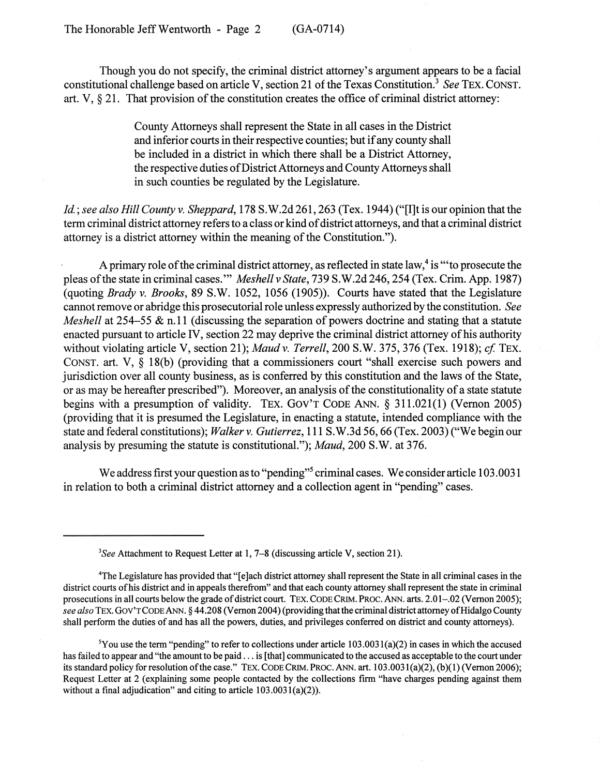Though you do not specify, the criminal district attorney's argument appears to be a facial constitutional challenge based on article V, section 21 of the Texas Constitution.3 *See* TEx. CONST. art. V, § 21. That provision of the constitution creates the office of criminal district attorney:

> County Attorneys shall represent the State in all cases in the District and inferior courts in their respective counties; but if any county shall be included in a district in which there shall be a District Attorney, the respective duties of District Attorneys and County Attorneys shall in such counties be regulated by the Legislature.

*Id.* ; *see also Hill County* v. *Sheppard,* 178 S. W.2d 261, 263 (Tex. 1944) ("[I]t is our opinion that the term criminal district attorney refers to a class or kind of district attorneys, and that a criminal district attorney is a district attorney within the meaning of the Constitution.").

A primary role of the criminal district attorney, as reflected in state law,<sup>4</sup> is "to prosecute the pleas of the state in criminal cases. '" *Meshell* v *State,* 739 S. W.2d 246,254 (Tex. Crim. App. 1987) (quoting *Brady* v. *Brooks,* 89 S.W. 1052, 1056 (1905)). Courts have stated that the Legislature cannot remove or abridge this prosecutorial role unless expressly authorized by the constitution. *See Meshell* at 254–55 & n.11 (discussing the separation of powers doctrine and stating that a statute enacted pursuant to article IV, section 22 may deprive the criminal district attorney of his authority without violating article V, section 21); *Maud v. Terrell*, 200 S.W. 375, 376 (Tex. 1918); *cf.* TEX. CONST. art. V, § 18(b) (providing that a commissioners court "shall exercise such powers and jurisdiction over all county business, as is conferred by this constitution and the laws of the State, or as may be hereafter prescribed"). Moreover, an analysis of the constitutionality of a state statute begins with a presumption of validity. TEx. GOV'T CODE ANN. § 311.021(1) (Vernon 2005) (providing that it is presumed the Legislature, in enacting a statute, intended compliance with the state and federal constitutions); *Walker* v. *Gutierrez,* 111 S.W.3d 56, 66 (Tex. 2003) ("We begin our analysis by presuming the statute is constitutional."); *Maud,* 200 S.W. at 376.

We address first your question as to "pending"<sup>5</sup> criminal cases. We consider article 103.0031 in relation to both a criminal district attorney and a collection agent in "pending" cases.

<sup>5</sup>You use the term "pending" to refer to collections under article 103.0031(a)(2) in cases in which the accused has failed to appear and "the amount to be paid ... is [that] communicated to the accused as acceptable to the court under its standard policy for resolution of the case." TEX. CODE CRIM. PROC. ANN. art. 103.0031(a)(2), (b)(1) (Vernon 2006); Request Letter at 2 (explaining some people contacted by the collections firm "have charges pending against them without a final adjudication" and citing to article 103.0031(a)(2)).

*<sup>3</sup>See* Attachment to Request Letter at I, 7-8 (discussing article V, section 21).

<sup>&</sup>lt;sup>4</sup>The Legislature has provided that "[e]ach district attorney shall represent the State in all criminal cases in the district courts of his district and in appeals therefrom" and that each county attorney shall represent the state in criminal prosecutions in all courts below the grade of district court. TEX. CODE CRIM. PROC. ANN. arts. 2.01-.02 (Vernon 2005); *see also* TEX. Gov'r CODE.ANN. § 44.208 (Vernon 2004) (providing that the criminal district attorney of Hidalgo County shall perform the duties of and has all the powers, duties, and privileges conferred on district and county attorneys).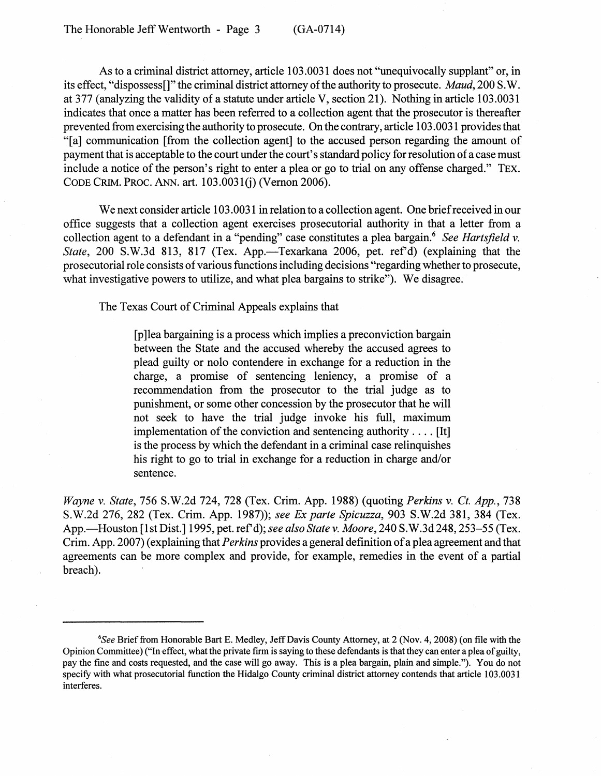As to a criminal district attorney, article 103;0031 does not ''unequivocally supplant" or, in its effect, "dispossess[]" the criminal district attorney of the authority to prosecute. *Maud,* 200 S. W. at 3 77 (analyzing the validity of a statute under article V, section 21). Nothing in article 103.0031 indicates that once a matter has been referred to a collection agent that the prosecutor is thereafter prevented from exercising the authority to prosecute. On the contrary, article 103.0031 provides that "[a] communication [from the collection agent] to the accused person regarding the amount of payment that is acceptable to the court under the court's standard policy for resolution of a case must include a notice of the person's right to enter a plea or go to trial on any offense charged." TEx. CODE CRIM. PROC. ANN. art. 103.0031(j) (Vernon 2006).

We next consider article 103.0031 in relation to a collection agent. One brief received in our office suggests that a collection agent exercises prosecutorial authority in that a letter from a collection agent to a defendant in a "pending" case constitutes a plea bargain.6 *See Hartsfield* v. *State*, 200 S.W.3d 813, 817 (Tex. App.—Texarkana 2006, pet. ref'd) (explaining that the prosecutorial role consists of various functions including decisions "regarding whether to prosecute, what investigative powers to utilize, and what plea bargains to strike"). We disagree.

The Texas Court of Criminal Appeals explains that

[p ]lea bargaining is a process which implies a preconviction bargain between the State and the accused whereby the accused agrees to plead guilty or nolo contendere in exchange for a reduction in the charge, a promise of sentencing leniency, a promise of a recommendation from the prosecutor to the trial judge as to punishment, or some other concession by the prosecutor that he will not seek to have the trial judge invoke his full, maximum implementation of the conviction and sentencing authority .... [It] is the process by which the defendant in a criminal case relinquishes his right to go to trial in exchange for a reduction in charge and/or sentence.

*Wayne* v. *State,* 756 S.W.2d 724, 728 (Tex. Crim. App. 1988) (quoting *Perkins* v. *Ct. App., 738*  S.W.2d 276, 282 (Tex. Crim. App. 1987)); *see Ex parte Spicuzza*, 903 S.W.2d 381, 384 (Tex. App.—Houston [1st Dist.] 1995, pet. ref'd); *see also State v. Moore*, 240 S.W.3d 248, 253–55 (Tex. Crim. App. 2007) (explaining that *Perkins* provides a general definition of a plea agreement and that agreements can be more complex and provide, for example, remedies in the event of a partial breach).

<sup>6</sup>S*ee* Brief from Honorable Bart E. Medley, Jeff Davis County Attorney, at 2 (Nov. 4, 2008) (on file with the Opinion Committee) ("In effect, what the private firm is saying to these defendants is that they can enter a plea of guilty, pay the fme and costs requested, and the case will go away. This is a plea bargain, plain and simple."). You do not specify with what prosecutorial function the Hidalgo County criminal district attorney contends that article 103.0031 interferes.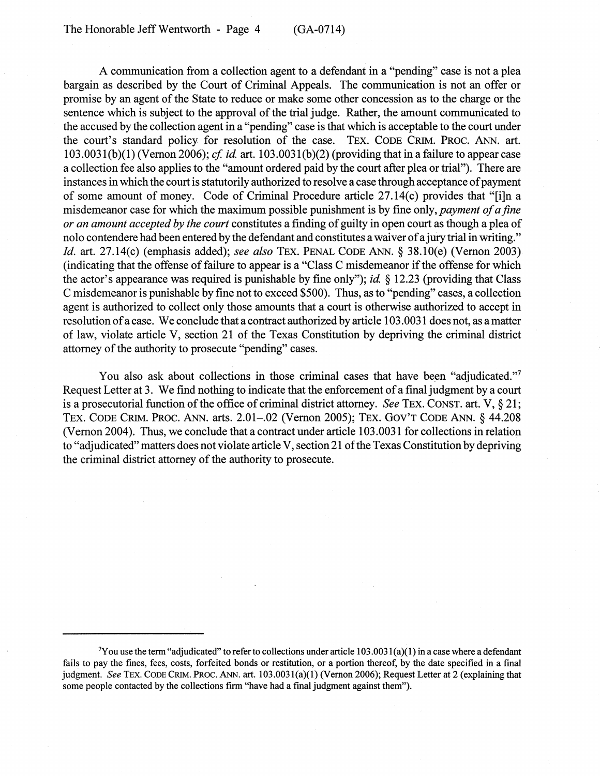A communication from a collection agent to a defendant in a "pending" case is not a plea bargain as described by the Court of Criminal Appeals. The communication is not an offer or promise by an agent of the State to reduce or make some other concession as to the charge or the sentence which is subject to the approval of the trial judge. Rather, the amount communicated to the accused by the collection agent in a "pending" case is that which is acceptable to the court under the court's standard policy for resolution of the case. TEx. CODE CRIM. PROC. ANN. art. 103.0031(b)(1) (Vernon 2006); *cf id.* art. 103.0031(b)(2) (providing that in a failure to appear case a collection fee also applies to the "amount ordered paid by the court after plea or trial"). There are instances in which the court is statutorily authorized to resolve a case through acceptance of payment of some amount of money. Code of Criminal Procedure article 27.14(c) provides that "[i]n a misdemeanor case for which the maximum possible punishment is by fine only, *payment of a fine or an amount accepted by the court* constitutes a finding of guilty in open court as though a plea of nolo contendere had been entered by the defendant and constitutes a waiver of a jury trial in writing." *Id.* art. 27.14(c) (emphasis added); *see also* TEx. PENAL CODE ANN. § 38.1O(e) (Vernon 2003) (indicating that the offense of failure to appear is a "Class C misdemeanor if the offense for which the actor's appearance was required is punishable by fine only"); *id* § 12.23 (providing that Class C misdemeanor is punishable by fine not to exceed \$500). Thus, as to "pending" cases, a collection agent is authorized to collect only those amounts that a court is otherwise authorized to accept in resolution of a case. We conclude that a contract authorized by article 103.0031 does not, as a matter of law, violate article V, section 21 of the Texas Constitution by depriving the criminal district attorney of the authority to prosecute "pending" cases.

You also ask about collections in those criminal cases that have been "adjudicated."<sup>7</sup> Request Letter at 3. We find nothing to indicate that the enforcement of a final judgment by a court is a prosecutorial function of the office of criminal district attorney. *See* TEx. CONST. art. V, § 21; TEx. CODE CRIM. PROC. ANN. arts. 2.01-.02 (Vernon 2005); TEx. GOV'T CODE ANN. § 44.208 (Vernon 2004). Thus, we conclude that a contract under article 103.0031 for collections in relation to "adjudicated" matters does not violate article V, section 21 of the Texas Constitution by depriving the criminal district attorney of the authority to prosecute.

 $\gamma$ Y ou use the term "adjudicated" to refer to collections under article 103.0031(a)(1) in a case where a defendant fails to pay the fmes, fees, costs, forfeited bonds or restitution, or a portion thereof, by the date specified in a final judgment. *See* TEX. CODE CRIM. PROC. ANN. art. 103.0031(a)(1) (Vernon 2006); Request Letter at 2 (explaining that some people contacted by the collections firm "have had a final judgment against them").